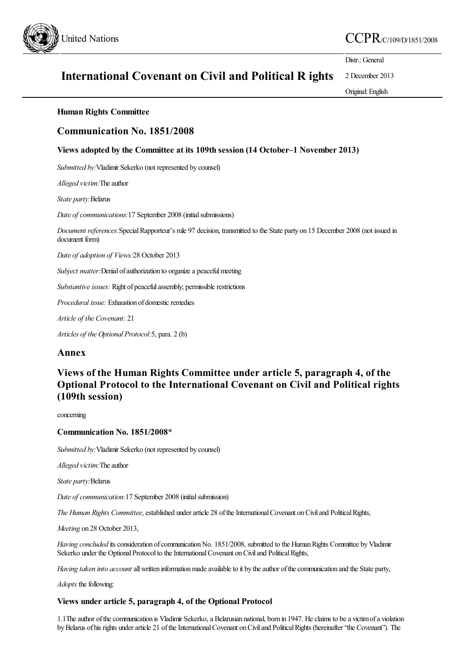

# United Nations  $CCPR_{CC/109/D/1851/2008}$

Distr.: General

#### **International Covenant on Civil and Political R ights** 2 December 2013

Original:English

#### **Human Rights Committee**

### **Communication No. 1851/2008**

#### **Views adopted by the Committee at its 109th session (14 October–1 November 2013)**

*Submitted by:*Vladimir Sekerko (not represented by counsel)

*Alleged victim:*The author

*State party:*Belarus

*Date of communications:*17 September 2008 (initial submissions)

*Document references:*SpecialRapporteur's rule 97 decision, transmitted to the State party on 15 December 2008 (not issued in document form)

*Date of adoption of Views:*28 October 2013

*Subject matter:*Denial of authorization to organize a peaceful meeting

*Substantive issues:* Right of peaceful assembly; permissible restrictions

*Procedural issue:* Exhaustion of domestic remedies

*Article of the Covenant:* 21

*Articles of the Optional Protocol:*5, para. 2 (b)

#### **Annex**

## **Views of the Human Rights Committee under article 5, paragraph 4, of the Optional Protocol to the International Covenant on Civil and Political rights (109th session)**

concerning

#### **Communication No. 1851/2008\***

*Submitted by:*Vladimir Sekerko (not represented by counsel)

*Alleged victim:*The author

*State party:*Belarus

*Date of communication:*17 September 2008 (initialsubmission)

*The Human Rights Committee*, established under article 28 of the International Covenant on Civil and Political Rights,

*Meeting* on 28 October 2013,

*Having concluded* its consideration of communication No. 1851/2008, submitted to the Human Rights Committee by Vladimir Sekerko under the Optional Protocol to the International Covenant on Civil and Political Rights,

*Having taken into account* all written information made available to it by the author of the communication and the State party,

*Adopts* the following:

#### **Views under article 5, paragraph 4, of the Optional Protocol**

1.1The author of the communication is Vladimir Sekerko, a Belarusian national, born in 1947. He claims to be a victim of a violation by Belarus of his rights under article 21 of the International Covenant on Civil and Political Rights (hereinafter "the Covenant"). The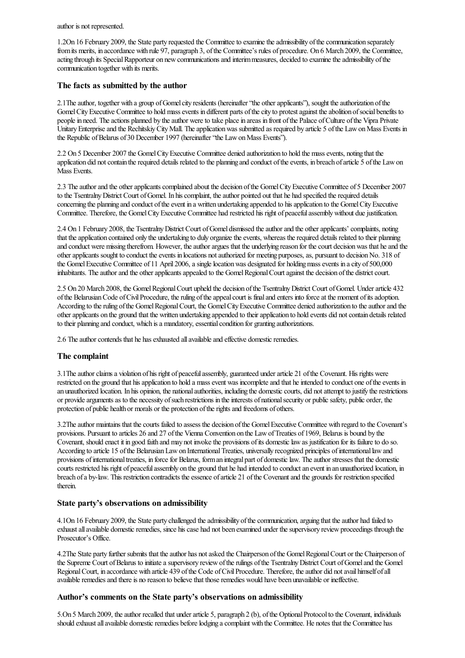author is not represented.

1.2On 16 February 2009, the State party requested the Committeeto examinetheadmissibility ofthecommunication separately fromits merits, in accordance with rule 97, paragraph 3, ofthe Committee's rules of procedure. On 6 March 2009, the Committee, acting through its Special Rapporteur on new communications and interim measures, decided to examine the admissibility of the communication together with its merits.

#### **The facts as submitted by the author**

2.1The author, together with a group of Gomelcity residents (hereinafter "the other applicants"), sought the authorization of the Gomel City Executive Committee to hold mass events in different parts of the city to protest against the abolition of social benefits to people in need. The actions planned by the author were to take place in areas in front of the Palace of Culture of the Vipra Private Unitary Enterprise and the Rechitskiy City Mall. The application was submitted as required by article 5 of the Law on Mass Events in the Republic of Belarus of 30 December 1997 (hereinafter "the Law on Mass Events").

2.2 On 5 December 2007 the Gomel City Executive Committee denied authorization to hold the mass events, noting that the application did not contain the required details related to the planning and conduct of the events, in breach of article 5 of the Law on Mass Events.

2.3 The author and the other applicants complained about the decision of the Gomel City Executive Committee of 5 December 2007 to the Tsentralny District Court of Gomel. In his complaint, the author pointed out that he had specified the required details concerning the planning and conduct of the event in a written undertaking appended to his application to the Gomel City Executive Committee. Therefore, the Gomel City Executive Committee had restricted his right of peaceful assembly without due justification.

2.4 On 1 February 2008, the Tsentralny District Court of Gomel dismissed the author and the other applicants' complaints, noting that the application contained only the undertaking to duly organize the events, whereas the required details related to their planning and conduct were missing therefrom. However, the author argues that the underlying reason for the court decision was that he and the other applicants sought to conduct the events in locations not authorized for meeting purposes, as, pursuant to decision No. 318 of the Gomel Executive Committee of 11 April 2006, a single location was designated for holding mass events in a city of 500,000 inhabitants. The author and the other applicants appealed to the Gomel Regional Court against the decision of the district court.

2.5 On 20 March 2008, the Gomel Regional Court upheld the decision of the Tsentralny District Court of Gomel. Under article 432 ofthe BelarusianCode ofCivilProcedure, theruling oftheappealcourt is finaland enters into forceat the moment ofitsadoption. According to the ruling of the Gomel Regional Court, the Gomel City Executive Committee denied authorization to the author and the other applicants on the ground that the written undertaking appended to their application to hold events did not contain details related to their planning and conduct, which is a mandatory, essential condition for granting authorizations.

2.6 The author contends that he has exhausted all available and effective domestic remedies.

#### **The complaint**

3.1 The author claims a violation of his right of peaceful assembly, guaranteed under article 21 of the Covenant. His rights were restricted on the ground that his application to hold a mass event was incomplete and that he intended to conduct one of the events in an unauthorized location. In his opinion, the national authorities, including the domestic courts, did not attempt to justify the restrictions or provide arguments as to the necessity of such restrictions in the interests of national security or public safety, public order, the protection of public health or morals or the protection of the rights and freedoms of others.

3.2Theauthor maintains that thecourts failed to assess the decision ofthe GomelExecutive Committee with regard to the Covenant's provisions. Pursuant to articles 26 and 27 ofthe Vienna Convention on the LawofTreaties of 1969, Belarus is bound by the Covenant, should enact it in good faith and may not invoke the provisions of its domestic law as justification for its failure to do so. According to article 15 ofthe BelarusianLawon InternationalTreaties, universally recognized principles ofinternationallawand provisions of international treaties, in force for Belarus, form an integral part of domestic law. The author stresses that the domestic courts restricted his right of peacefulassembly on the ground that he had intended to conductan event in an unauthorized location, in breach of a by-law. This restriction contradicts the essence of article 21 of the Covenant and the grounds for restriction specified therein.

#### **State party's observations on admissibility**

4.1On 16 February 2009, the State party challenged the admissibility of the communication, arguing that the author had failed to exhaust all available domestic remedies, since his case had not been examined under the supervisory review proceedings through the Prosecutor's Office.

4.2The State party further submits that the author has not asked the Chairperson of the Gomel Regional Court or the Chairperson of the Supreme Court of Belarus to initiate a supervisory review of the rulings of the Tsentralny District Court of Gomel and the Gomel Regional Court, in accordance with article 439 of the Code of Civil Procedure. Therefore, the author did not avail himself of all available remedies and there is no reason to believe that those remedies would have been unavailable or ineffective.

#### **Author's comments on the State party's observations on admissibility**

5.On 5 March 2009, the author recalled that under article 5, paragraph 2 (b), of the Optional Protocol to the Covenant, individuals should exhaust all available domestic remedies before lodging a complaint with the Committee. He notes that the Committee has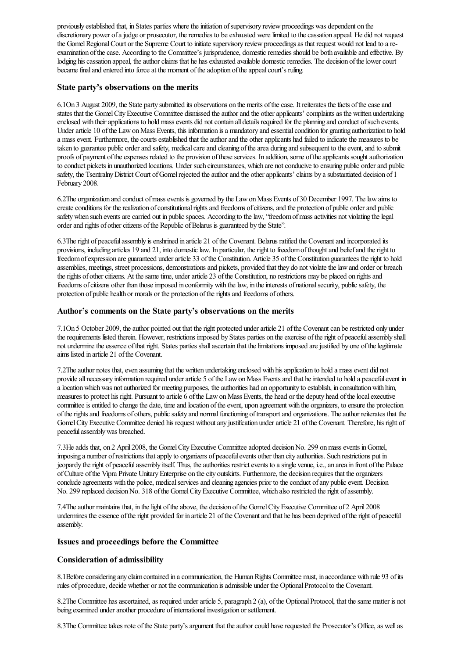previously established that, in States parties where the initiation of supervisory review proceedings was dependent on the discretionary power of a judge or prosecutor, the remedies to be exhausted were limited to the cassation appeal. He did not request the Gomel Regional Court or the Supreme Court to initiate supervisory review proceedings as that request would not lead to a reexamination of the case. According to the Committee's jurisprudence, domestic remedies should be both available and effective. By lodging his cassation appeal, the author claims that he has exhausted available domestic remedies. The decision of the lower court became final and entered into force at the moment of the adoption of the appeal court's ruling.

#### **State party's observations on the merits**

6.1On 3 August 2009, the State party submitted its observations on the merits ofthecase. It reiterates thefacts ofthecaseand states that the Gomel City Executive Committee dismissed the author and the other applicants' complaints as the written undertaking enclosed with their applications to hold mass events did not contain all details required for the planning and conduct of such events. Under article 10 of the Law on Mass Events, this information is a mandatory and essential condition for granting authorization to hold a mass event. Furthermore, the courts established that the author and the other applicants had failed to indicate the measures to be taken to guarantee public order and safety, medical care and cleaning of the area during and subsequent to the event, and to submit proofs of payment of the expenses related to the provision of these services. In addition, some of the applicants sought authorization to conduct pickets in unauthorized locations. Under such circumstances, which are not conducive to ensuring public order and public safety, the Tsentralny District Court of Gomel rejected the author and the other applicants' claims by a substantiated decision of 1 February 2008.

6.2The organization and conduct ofmassevents is governed by the LawonMass Events of 30 December 1997. Thelawaims to create conditions for the realization of constitutional rights and freedoms of citizens, and the protection of public order and public safety when such events are carried out in public spaces. According to the law, "freedom of mass activities not violating the legal order and rights of other citizens of the Republic of Belarus is guaranteed by the State".

6.3The right of peaceful assembly is enshrined in article 21 of the Covenant. Belarus ratified the Covenant and incorporated its provisions, including articles 19 and 21, into domesticlaw. In particular, theright to freedomofthoughtand beliefand theright to freedom of expression are guaranteed under article 33 of the Constitution. Article 35 of the Constitution guarantees the right to hold assemblies, meetings, street processions, demonstrations and pickets, provided that they do not violate the law and order or breach the rights of other citizens. At the same time, under article 23 of the Constitution, no restrictions may be placed on rights and freedoms of citizens other than those imposed in conformity with the law, in the interests of national security, public safety, the protection of public health or morals or the protection of the rights and freedoms of others.

#### **Author's comments on the State party's observations on the merits**

7.1On 5 October 2009, the author pointed out that the right protected under article 21 of the Covenant can be restricted only under the requirements listed therein. However, restrictions imposed by States parties on the exercise of the right of peaceful assembly shall not undermine the essence of that right. States parties shall ascertain that the limitations imposed are justified by one of the legitimate aims listed in article 21 ofthe Covenant.

7.2The author notes that, even assuming that the written undertaking enclosed with his application to hold a mass event did not provide all necessary information required under article 5 of the Law on Mass Events and that he intended to hold a peaceful event in a location which was not authorized for meeting purposes, the authorities had an opportunity to establish, in consultation with him, measures to protect his right. Pursuant to article 6 of the Law on Mass Events, the head or the deputy head of the local executive committee is entitled to change the date, time and location of the event, upon agreement with the organizers, to ensure the protection of the rights and freedoms of others, public safety and normal functioning of transport and organizations. The author reiterates that the Gomel City Executive Committee denied his request without any justification under article 21 of the Covenant. Therefore, his right of peaceful assembly was breached.

7.3He adds that, on 2 April 2008, the Gomel City Executive Committee adopted decision No. 299 on mass events in Gomel, imposing a number ofrestrictions thatapply to organizers of peacefulevents other than city authorities. Such restrictions put in jeopardy theright of peacefulassembly itself. Thus, theauthorities restrictevents to asingle venue, i.e.,an areain front ofthe Palace ofCulture ofthe Vipra Private UnitaryEnterprise on thecity outskirts. Furthermore, the decision requires that the organizers conclude agreements with the police, medical services and cleaning agencies prior to the conduct of any public event. Decision No. 299 replaced decision No. 318 of the Gomel City Executive Committee, which also restricted the right of assembly.

7.4The author maintains that, in the light of the above, the decision of the Gomel City Executive Committee of 2 April 2008 undermines the essence of the right provided for in article 21 of the Covenant and that he has been deprived of the right of peaceful assembly.

#### **Issues and proceedings before the Committee**

#### **Consideration of admissibility**

8.1Before considering any claim contained in a communication, the Human Rights Committee must, in accordance with rule 93 of its rules of procedure, decide whether or not the communication is admissible under the Optional Protocol to the Covenant.

8.2The Committee has ascertained, as required under article 5, paragraph 2 (a), of the Optional Protocol, that the same matter is not being examined under another procedure of international investigation or settlement.

8.3The Committee takes note of the State party's argument that the author could have requested the Prosecutor's Office, as well as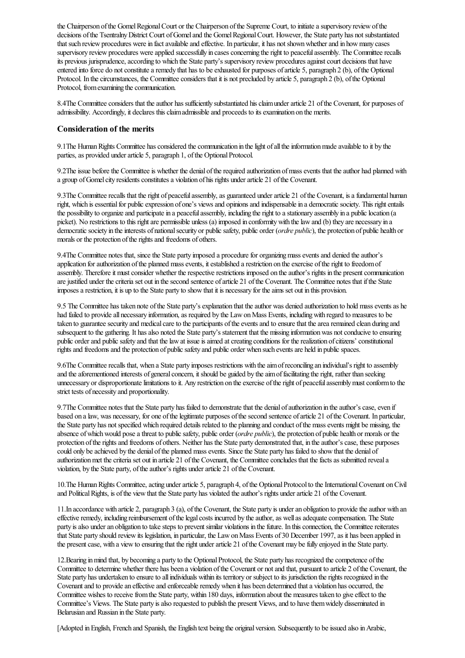the Chairperson of the Gomel Regional Court or the Chairperson of the Supreme Court, to initiate a supervisory review of the decisions of the Tsentralny District Court of Gomel and the Gomel Regional Court. However, the State party has not substantiated that such review procedures were in fact available and effective. In particular, it has not shown whether and in how many cases supervisory review procedures were applied successfully in cases concerning the right to peaceful assembly. The Committee recalls its previous jurisprudence, according to which the State party's supervisory review procedures against court decisions that have entered into force do not constitute a remedy that has to be exhausted for purposes of article 5, paragraph 2 (b), of the Optional Protocol. In the circumstances, the Committee considers that it is not precluded by article 5, paragraph 2 (b), of the Optional Protocol, from examining the communication.

8.4The Committee considers that the author has sufficiently substantiated his claim under article 21 of the Covenant, for purposes of admissibility. Accordingly, it declares this claim admissible and proceeds to its examination on the merits.

#### **Consideration of the merits**

9.1The Human Rights Committee has considered the communication in the light of all the information made available to it by the parties, as provided under article 5, paragraph 1, of the Optional Protocol.

9.2The issue before the Committee is whether the denial of the required authorization of mass events that the author had planned with a group of Gomel city residents constitutes a violation of his rights under article 21 of the Covenant.

9.3The Committee recalls that the right of peaceful assembly, as guaranteed under article 21 of the Covenant, is a fundamental human right, which is essential for public expression of one's views and opinions and indispensable in a democratic society. This right entails the possibility to organize and participate in a peaceful assembly, including the right to a stationary assembly in a public location (a picket). No restrictions to this right are permissible unless (a) imposed in conformity with the law and (b) they are necessary in a democratic society in the interests of national security or public safety, public order (*ordre public*), the protection of public health or morals or the protection of the rights and freedoms of others.

9.4The Committee notes that, since the State party imposed a procedure for organizing mass events and denied the author's application for authorization of the planned mass events, it established a restriction on the exercise of the right to freedom of assembly. Therefore it must consider whether the respective restrictions imposed on the author's rights in the present communication are justified under the criteria set out in the second sentence of article 21 of the Covenant. The Committee notes that if the State imposesarestriction, it is up to the State party to showthat it is necessary for theaims set out in this provision.

9.5 The Committee has taken note of the State party's explanation that the author was denied authorization to hold mass events as he had failed to provide all necessary information, as required by the Law on Mass Events, including with regard to measures to be taken to guarantee security and medical care to the participants of the events and to ensure that the area remained clean during and subsequent to the gathering. It has also noted the State party's statement that the missing information was not conducive to ensuring public order and public safety and that the law at issue is aimed at creating conditions for the realization of citizens' constitutional rights and freedoms and the protection of public safety and public order when such events are held in public spaces.

9.6The Committeerecalls that, when a State party imposes restrictions with theaimofreconciling an individual's right to assembly and the aforementioned interests of general concern, it should be guided by the aim of facilitating the right, rather than seeking unnecessary or disproportionate limitations to it. Any restriction on the exercise of the right of peaceful assembly must conform to the strict tests of necessity and proportionality.

9.7The Committee notes that the State party has failed to demonstrate that the denial of authorization in the author's case, even if based on a law, was necessary, for one of the legitimate purposes of the second sentence of article 21 of the Covenant. In particular, the State party has not specified which required details related to the planning and conduct of the mass events might be missing, the absence of which would pose a threat to public safety, public order (*ordre public*), the protection of public health or morals or the protection of the rights and freedoms of others. Neither has the State party demonstrated that, in the author's case, these purposes could only be achieved by the denial of the planned mass events. Since the State party has failed to show that the denial of authorization met the criteria set out in article 21 of the Covenant, the Committee concludes that the facts as submitted reveal a violation, by the State party, of the author's rights under article 21 of the Covenant.

10.The Human Rights Committee, acting under article 5, paragraph 4, of the Optional Protocol to the International Covenant on Civil and Political Rights, is of the view that the State party has violated the author's rights under article 21 of the Covenant.

11. In accordance with article 2, paragraph 3 (a), of the Covenant, the State party is under an obligation to provide the author with an effective remedy, including reimbursement of the legal costs incurred by the author, as well as adequate compensation. The State party is also under an obligation to take steps to prevent similar violations in the future. In this connection, the Committee reiterates that State party should review its legislation, in particular, the Law on Mass Events of 30 December 1997, as it has been applied in the present case, with a view to ensuring that the right under article 21 of the Covenant may be fully enjoyed in the State party.

12. Bearing in mind that, by becoming a party to the Optional Protocol, the State party has recognized the competence of the Committee to determine whether there has been a violation of the Covenant or not and that, pursuant to article 2 of the Covenant, the State party has undertaken to ensure to all individuals within its territory or subject to its jurisdiction the rights recognized in the Covenant and to provide an effective and enforceable remedy when it has been determined that a violation has occurred, the Committee wishes to receive from the State party, within 180 days, information about the measures taken to give effect to the Committee's Views. The State party is also requested to publish the present Views, and to have them widely disseminated in Belarusian and Russian in the State party.

[Adopted in English, French and Spanish, the English text being the original version. Subsequently to be issued also in Arabic,